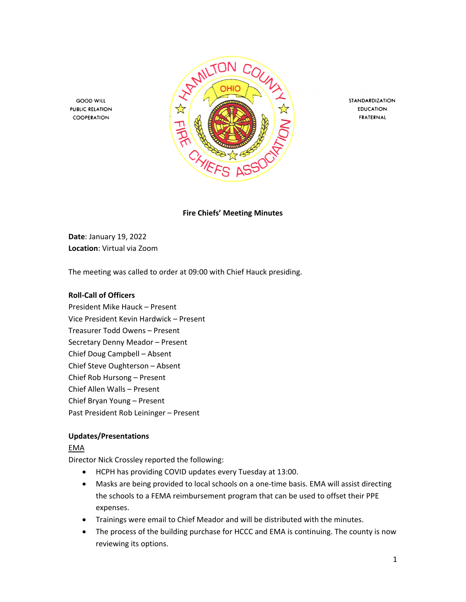

STANDARDIZATION **EDUCATION** FRATERNAL

**Fire Chiefs' Meeting Minutes**

**Date**: January 19, 2022 **Location**: Virtual via Zoom

The meeting was called to order at 09:00 with Chief Hauck presiding.

#### **Roll-Call of Officers**

**GOOD WILL** 

**PUBLIC RELATION** 

COOPERATION

President Mike Hauck – Present Vice President Kevin Hardwick – Present Treasurer Todd Owens – Present Secretary Denny Meador – Present Chief Doug Campbell – Absent Chief Steve Oughterson – Absent Chief Rob Hursong – Present Chief Allen Walls – Present Chief Bryan Young – Present Past President Rob Leininger – Present

#### **Updates/Presentations**

#### EMA

Director Nick Crossley reported the following:

- HCPH has providing COVID updates every Tuesday at 13:00.
- Masks are being provided to local schools on a one-time basis. EMA will assist directing the schools to a FEMA reimbursement program that can be used to offset their PPE expenses.
- Trainings were email to Chief Meador and will be distributed with the minutes.
- The process of the building purchase for HCCC and EMA is continuing. The county is now reviewing its options.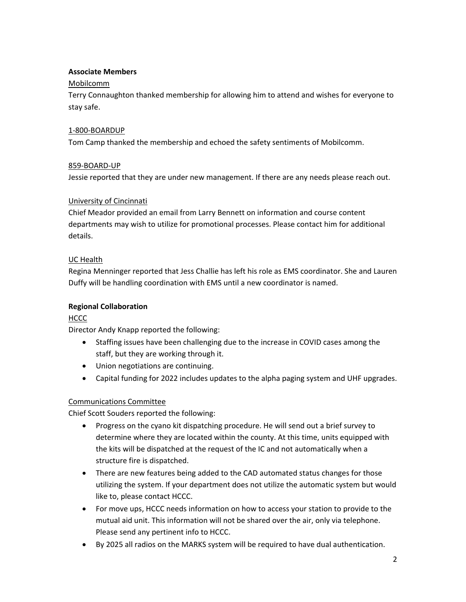### **Associate Members**

### Mobilcomm

Terry Connaughton thanked membership for allowing him to attend and wishes for everyone to stay safe.

### 1-800-BOARDUP

Tom Camp thanked the membership and echoed the safety sentiments of Mobilcomm.

### 859-BOARD-UP

Jessie reported that they are under new management. If there are any needs please reach out.

### University of Cincinnati

Chief Meador provided an email from Larry Bennett on information and course content departments may wish to utilize for promotional processes. Please contact him for additional details.

### UC Health

Regina Menninger reported that Jess Challie has left his role as EMS coordinator. She and Lauren Duffy will be handling coordination with EMS until a new coordinator is named.

# **Regional Collaboration**

# HCCC

Director Andy Knapp reported the following:

- Staffing issues have been challenging due to the increase in COVID cases among the staff, but they are working through it.
- Union negotiations are continuing.
- Capital funding for 2022 includes updates to the alpha paging system and UHF upgrades.

# Communications Committee

Chief Scott Souders reported the following:

- Progress on the cyano kit dispatching procedure. He will send out a brief survey to determine where they are located within the county. At this time, units equipped with the kits will be dispatched at the request of the IC and not automatically when a structure fire is dispatched.
- There are new features being added to the CAD automated status changes for those utilizing the system. If your department does not utilize the automatic system but would like to, please contact HCCC.
- For move ups, HCCC needs information on how to access your station to provide to the mutual aid unit. This information will not be shared over the air, only via telephone. Please send any pertinent info to HCCC.
- By 2025 all radios on the MARKS system will be required to have dual authentication.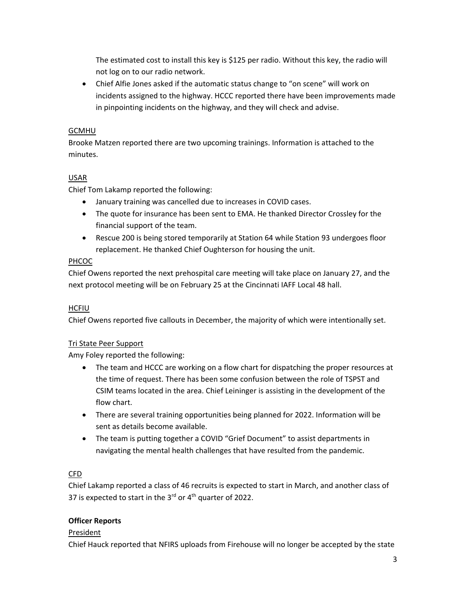The estimated cost to install this key is \$125 per radio. Without this key, the radio will not log on to our radio network.

• Chief Alfie Jones asked if the automatic status change to "on scene" will work on incidents assigned to the highway. HCCC reported there have been improvements made in pinpointing incidents on the highway, and they will check and advise.

# **GCMHU**

Brooke Matzen reported there are two upcoming trainings. Information is attached to the minutes.

# USAR

Chief Tom Lakamp reported the following:

- January training was cancelled due to increases in COVID cases.
- The quote for insurance has been sent to EMA. He thanked Director Crossley for the financial support of the team.
- Rescue 200 is being stored temporarily at Station 64 while Station 93 undergoes floor replacement. He thanked Chief Oughterson for housing the unit.

# PHCOC

Chief Owens reported the next prehospital care meeting will take place on January 27, and the next protocol meeting will be on February 25 at the Cincinnati IAFF Local 48 hall.

# HCFIU

Chief Owens reported five callouts in December, the majority of which were intentionally set.

# Tri State Peer Support

Amy Foley reported the following:

- The team and HCCC are working on a flow chart for dispatching the proper resources at the time of request. There has been some confusion between the role of TSPST and CSIM teams located in the area. Chief Leininger is assisting in the development of the flow chart.
- There are several training opportunities being planned for 2022. Information will be sent as details become available.
- The team is putting together a COVID "Grief Document" to assist departments in navigating the mental health challenges that have resulted from the pandemic.

# CFD

Chief Lakamp reported a class of 46 recruits is expected to start in March, and another class of 37 is expected to start in the  $3<sup>rd</sup>$  or  $4<sup>th</sup>$  quarter of 2022.

# **Officer Reports**

# President

Chief Hauck reported that NFIRS uploads from Firehouse will no longer be accepted by the state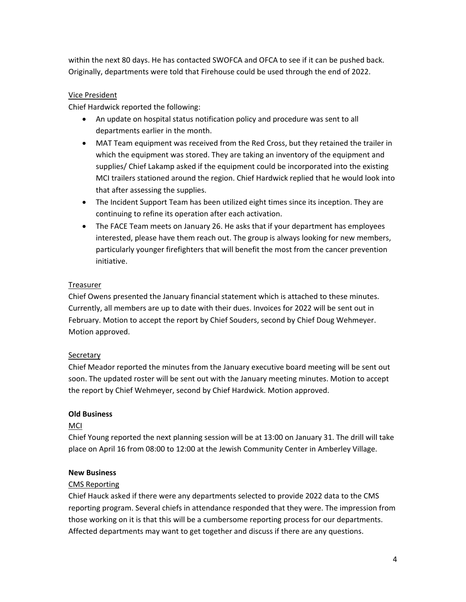within the next 80 days. He has contacted SWOFCA and OFCA to see if it can be pushed back. Originally, departments were told that Firehouse could be used through the end of 2022.

# Vice President

Chief Hardwick reported the following:

- An update on hospital status notification policy and procedure was sent to all departments earlier in the month.
- MAT Team equipment was received from the Red Cross, but they retained the trailer in which the equipment was stored. They are taking an inventory of the equipment and supplies/ Chief Lakamp asked if the equipment could be incorporated into the existing MCI trailers stationed around the region. Chief Hardwick replied that he would look into that after assessing the supplies.
- The Incident Support Team has been utilized eight times since its inception. They are continuing to refine its operation after each activation.
- The FACE Team meets on January 26. He asks that if your department has employees interested, please have them reach out. The group is always looking for new members, particularly younger firefighters that will benefit the most from the cancer prevention initiative.

### Treasurer

Chief Owens presented the January financial statement which is attached to these minutes. Currently, all members are up to date with their dues. Invoices for 2022 will be sent out in February. Motion to accept the report by Chief Souders, second by Chief Doug Wehmeyer. Motion approved.

# Secretary

Chief Meador reported the minutes from the January executive board meeting will be sent out soon. The updated roster will be sent out with the January meeting minutes. Motion to accept the report by Chief Wehmeyer, second by Chief Hardwick. Motion approved.

# **Old Business**

# **MCI**

Chief Young reported the next planning session will be at 13:00 on January 31. The drill will take place on April 16 from 08:00 to 12:00 at the Jewish Community Center in Amberley Village.

### **New Business**

# CMS Reporting

Chief Hauck asked if there were any departments selected to provide 2022 data to the CMS reporting program. Several chiefs in attendance responded that they were. The impression from those working on it is that this will be a cumbersome reporting process for our departments. Affected departments may want to get together and discuss if there are any questions.